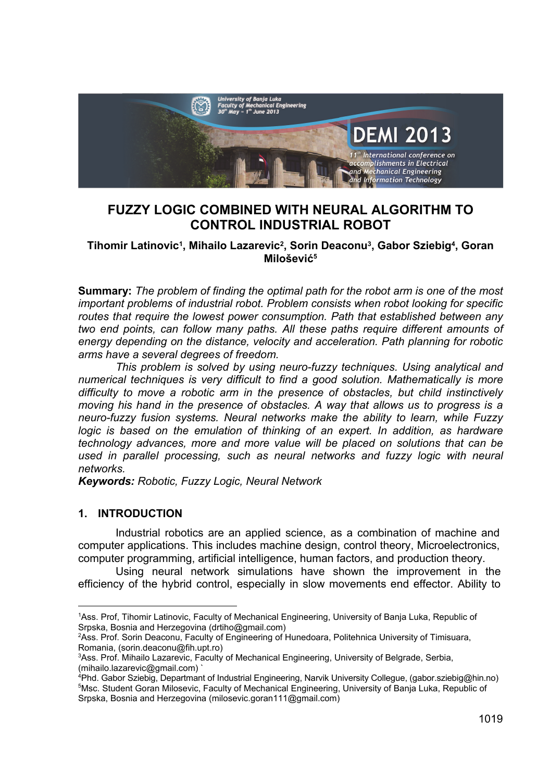

# **FUZZY LOGIC COMBINED WITH NEURAL ALGORITHM TO CONTROL INDUSTRIAL ROBOT**

#### **Tihomir Latinovic1, Mihailo Lazarevic2, Sorin Deaconu3, Gabor Sziebig4, Goran Milošević<sup>5</sup>**

**Summary:** *The problem of finding the optimal path for the robot arm is one of the most important problems of industrial robot. Problem consists when robot looking for specific routes that require the lowest power consumption. Path that established between any two end points, can follow many paths. All these paths require different amounts of energy depending on the distance, velocity and acceleration. Path planning for robotic arms have a several degrees of freedom.* 

*This problem is solved by using neuro-fuzzy techniques. Using analytical and numerical techniques is very difficult to find a good solution. Mathematically is more difficulty to move a robotic arm in the presence of obstacles, but child instinctively moving his hand in the presence of obstacles. A way that allows us to progress is a neuro-fuzzy fusion systems. Neural networks make the ability to learn, while Fuzzy logic is based on the emulation of thinking of an expert. In addition, as hardware technology advances, more and more value will be placed on solutions that can be*  used in parallel processing, such as neural networks and fuzzy logic with neural *networks.* 

*Keywords: Robotic, Fuzzy Logic, Neural Network* 

#### **1. INTRODUCTION**

 $\overline{a}$ 

Industrial robotics are an applied science, as a combination of machine and computer applications. This includes machine design, control theory, Microelectronics, computer programming, artificial intelligence, human factors, and production theory.

Using neural network simulations have shown the improvement in the efficiency of the hybrid control, especially in slow movements end effector. Ability to

<sup>1</sup> Ass. Prof, Tihomir Latinovic, Faculty of Mechanical Engineering, University of Banja Luka, Republic of Srpska, Bosnia and Herzegovina (drtiho@gmail.com)

<sup>2</sup> Ass. Prof. Sorin Deaconu, Faculty of Engineering of Hunedoara, Politehnica University of Timisuara, Romania, (sorin.deaconu@fih.upt.ro)

<sup>3</sup> Ass. Prof. Mihailo Lazarevic, Faculty of Mechanical Engineering, University of Belgrade, Serbia, (mihailo.lazarevic@gmail.com) `

<sup>4</sup> Phd. Gabor Sziebig, Departmant of Industrial Engineering, Narvik University Collegue, (gabor.sziebig@hin.no) 5 <sup>5</sup>Msc. Student Goran Milosevic, Faculty of Mechanical Engineering, University of Banja Luka, Republic of Srpska, Bosnia and Herzegovina (milosevic.goran111@gmail.com)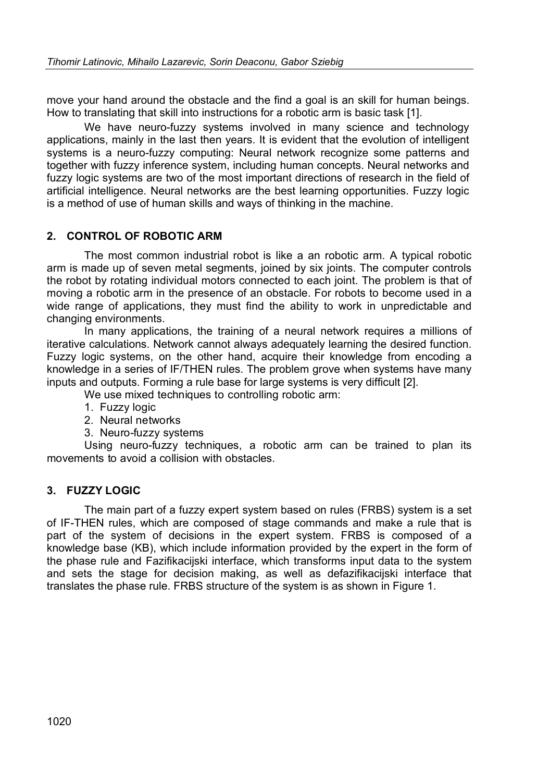move your hand around the obstacle and the find a goal is an skill for human beings. How to translating that skill into instructions for a robotic arm is basic task [1].

We have neuro-fuzzy systems involved in many science and technology applications, mainly in the last then years. It is evident that the evolution of intelligent systems is a neuro-fuzzy computing: Neural network recognize some patterns and together with fuzzy inference system, including human concepts. Neural networks and fuzzy logic systems are two of the most important directions of research in the field of artificial intelligence. Neural networks are the best learning opportunities. Fuzzy logic is a method of use of human skills and ways of thinking in the machine.

### **2. CONTROL OF ROBOTIC ARM**

The most common industrial robot is like a an robotic arm. A typical robotic arm is made up of seven metal segments, joined by six joints. The computer controls the robot by rotating individual motors connected to each joint. The problem is that of moving a robotic arm in the presence of an obstacle. For robots to become used in a wide range of applications, they must find the ability to work in unpredictable and changing environments.

In many applications, the training of a neural network requires a millions of iterative calculations. Network cannot always adequately learning the desired function. Fuzzy logic systems, on the other hand, acquire their knowledge from encoding a knowledge in a series of IF/THEN rules. The problem grove when systems have many inputs and outputs. Forming a rule base for large systems is very difficult [2].

We use mixed techniques to controlling robotic arm:

- 1. Fuzzy logic
- 2. Neural networks
- 3. Neuro-fuzzy systems

Using neuro-fuzzy techniques, a robotic arm can be trained to plan its movements to avoid a collision with obstacles.

## **3. FUZZY LOGIC**

The main part of a fuzzy expert system based on rules (FRBS) system is a set of IF-THEN rules, which are composed of stage commands and make a rule that is part of the system of decisions in the expert system. FRBS is composed of a knowledge base (KB), which include information provided by the expert in the form of the phase rule and Fazifikacijski interface, which transforms input data to the system and sets the stage for decision making, as well as defazifikacijski interface that translates the phase rule. FRBS structure of the system is as shown in Figure 1.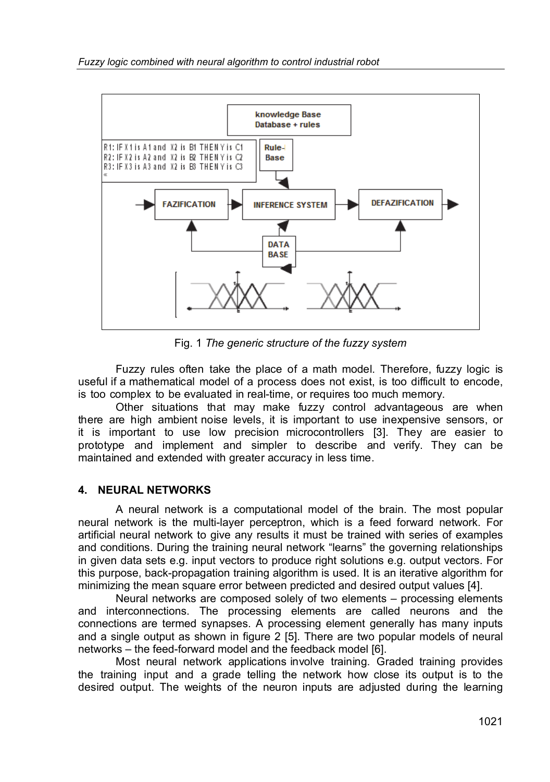

Fig. 1 *The generic structure of the fuzzy system* 

Fuzzy rules often take the place of a math model. Therefore, fuzzy logic is useful if a mathematical model of a process does not exist, is too difficult to encode, is too complex to be evaluated in real-time, or requires too much memory.

Other situations that may make fuzzy control advantageous are when there are high ambient noise levels, it is important to use inexpensive sensors, or it is important to use low precision microcontrollers [3]. They are easier to prototype and implement and simpler to describe and verify. They can be maintained and extended with greater accuracy in less time.

#### **4. NEURAL NETWORKS**

A neural network is a computational model of the brain. The most popular neural network is the multi-layer perceptron, which is a feed forward network. For artificial neural network to give any results it must be trained with series of examples and conditions. During the training neural network "learns" the governing relationships in given data sets e.g. input vectors to produce right solutions e.g. output vectors. For this purpose, back-propagation training algorithm is used. It is an iterative algorithm for minimizing the mean square error between predicted and desired output values [4].

Neural networks are composed solely of two elements – processing elements and interconnections. The processing elements are called neurons and the connections are termed synapses. A processing element generally has many inputs and a single output as shown in figure 2 [5]. There are two popular models of neural networks – the feed-forward model and the feedback model [6].

Most neural network applications involve training. Graded training provides the training input and a grade telling the network how close its output is to the desired output. The weights of the neuron inputs are adjusted during the learning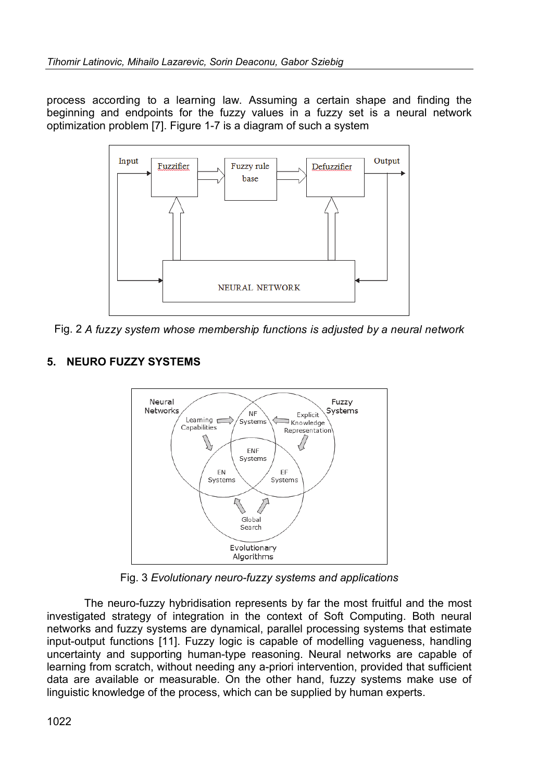process according to a learning law. Assuming a certain shape and finding the beginning and endpoints for the fuzzy values in a fuzzy set is a neural network optimization problem [7]. Figure 1-7 is a diagram of such a system



Fig. 2 *A fuzzy system whose membership functions is adjusted by a neural network*

## **5. NEURO FUZZY SYSTEMS**



Fig. 3 *Evolutionary neuro-fuzzy systems and applications* 

The neuro-fuzzy hybridisation represents by far the most fruitful and the most investigated strategy of integration in the context of Soft Computing. Both neural networks and fuzzy systems are dynamical, parallel processing systems that estimate input-output functions [11]. Fuzzy logic is capable of modelling vagueness, handling uncertainty and supporting human-type reasoning. Neural networks are capable of learning from scratch, without needing any a-priori intervention, provided that sufficient data are available or measurable. On the other hand, fuzzy systems make use of linguistic knowledge of the process, which can be supplied by human experts.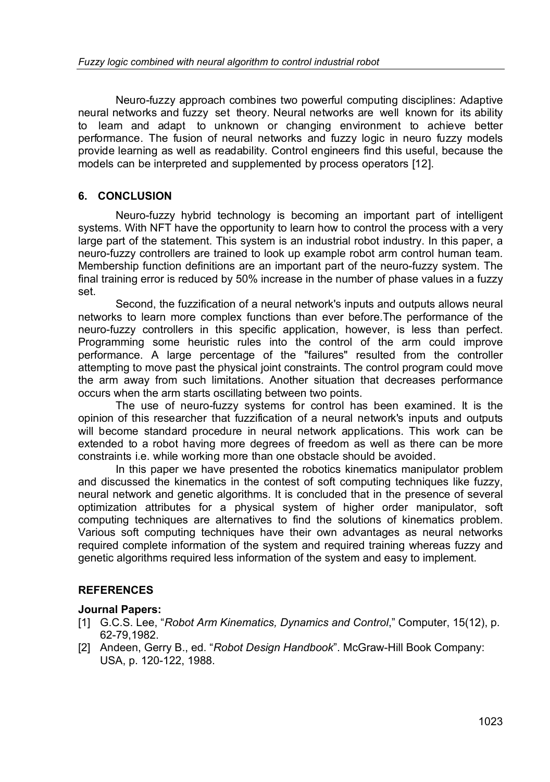Neuro-fuzzy approach combines two powerful computing disciplines: Adaptive neural networks and fuzzy set theory. Neural networks are well known for its ability to learn and adapt to unknown or changing environment to achieve better performance. The fusion of neural networks and fuzzy logic in neuro fuzzy models provide learning as well as readability. Control engineers find this useful, because the models can be interpreted and supplemented by process operators [12].

## **6. CONCLUSION**

Neuro-fuzzy hybrid technology is becoming an important part of intelligent systems. With NFT have the opportunity to learn how to control the process with a very large part of the statement. This system is an industrial robot industry. In this paper, a neuro-fuzzy controllers are trained to look up example robot arm control human team. Membership function definitions are an important part of the neuro-fuzzy system. The final training error is reduced by 50% increase in the number of phase values in a fuzzy set.

Second, the fuzzification of a neural network's inputs and outputs allows neural networks to learn more complex functions than ever before.The performance of the neuro-fuzzy controllers in this specific application, however, is less than perfect. Programming some heuristic rules into the control of the arm could improve performance. A large percentage of the "failures" resulted from the controller attempting to move past the physical joint constraints. The control program could move the arm away from such limitations. Another situation that decreases performance occurs when the arm starts oscillating between two points.

The use of neuro-fuzzy systems for control has been examined. It is the opinion of this researcher that fuzzification of a neural network's inputs and outputs will become standard procedure in neural network applications. This work can be extended to a robot having more degrees of freedom as well as there can be more constraints i.e. while working more than one obstacle should be avoided.

In this paper we have presented the robotics kinematics manipulator problem and discussed the kinematics in the contest of soft computing techniques like fuzzy, neural network and genetic algorithms. It is concluded that in the presence of several optimization attributes for a physical system of higher order manipulator, soft computing techniques are alternatives to find the solutions of kinematics problem. Various soft computing techniques have their own advantages as neural networks required complete information of the system and required training whereas fuzzy and genetic algorithms required less information of the system and easy to implement.

## **REFERENCES**

#### **Journal Papers:**

- [1] G.C.S. Lee, "*Robot Arm Kinematics, Dynamics and Control*," Computer, 15(12), p. 62-79,1982.
- [2] Andeen, Gerry B., ed. "*Robot Design Handbook*". McGraw-Hill Book Company: USA, p. 120-122, 1988.